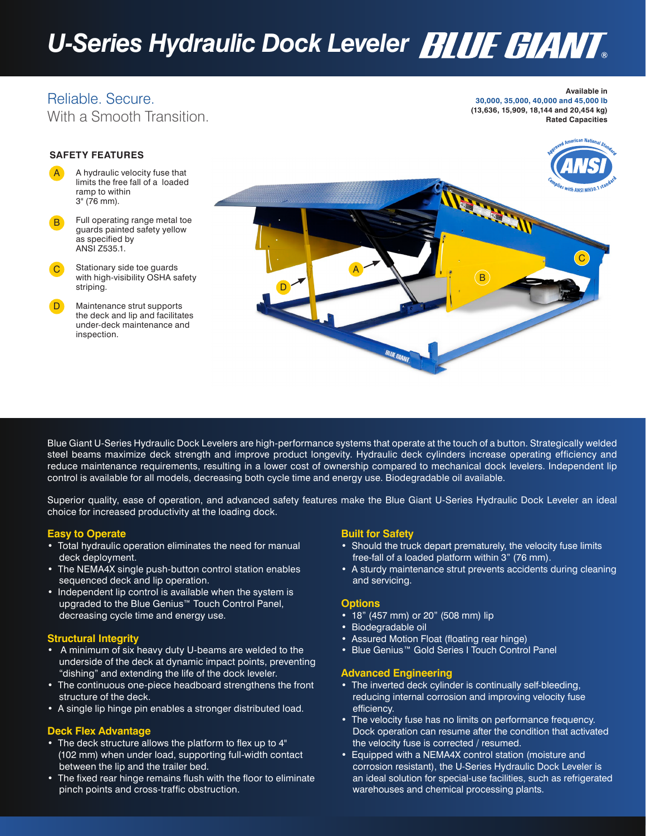# *U-Series Hydraulic Dock Leveler*

### Reliable. Secure. With a Smooth Transition.

#### **Available in 30,000, 35,000, 40,000 and 45,000 lb (13,636, 15,909, 18,144 and 20,454 kg) Rated Capacities**

#### **SAFETY FEATURES**

- A hydraulic velocity fuse that limits the free fall of a loaded ramp to within 3" (76 mm). A
- Full operating range metal toe guards painted safety yellow as specified by ANSI Z535.1. B
- Stationary side toe guards with high-visibility OSHA safety striping. C
- Maintenance strut supports the deck and lip and facilitates under-deck maintenance and inspection. D



Blue Giant U-Series Hydraulic Dock Levelers are high-performance systems that operate at the touch of a button. Strategically welded steel beams maximize deck strength and improve product longevity. Hydraulic deck cylinders increase operating efficiency and reduce maintenance requirements, resulting in a lower cost of ownership compared to mechanical dock levelers. Independent lip control is available for all models, decreasing both cycle time and energy use. Biodegradable oil available.

Superior quality, ease of operation, and advanced safety features make the Blue Giant U-Series Hydraulic Dock Leveler an ideal choice for increased productivity at the loading dock.

#### **Easy to Operate**

- Total hydraulic operation eliminates the need for manual deck deployment.
- The NEMA4X single push-button control station enables sequenced deck and lip operation.
- Independent lip control is available when the system is upgraded to the Blue Genius<sup>™</sup> Touch Control Panel, decreasing cycle time and energy use.

#### **Structural Integrity**

- A minimum of six heavy duty U-beams are welded to the underside of the deck at dynamic impact points, preventing "dishing" and extending the life of the dock leveler.
- The continuous one-piece headboard strengthens the front structure of the deck.
- A single lip hinge pin enables a stronger distributed load.

#### **Deck Flex Advantage**

- The deck structure allows the platform to flex up to 4" (102 mm) when under load, supporting full-width contact between the lip and the trailer bed.
- The fixed rear hinge remains flush with the floor to eliminate pinch points and cross-traffic obstruction.

#### **Built for Safety**

- Should the truck depart prematurely, the velocity fuse limits free-fall of a loaded platform within 3" (76 mm).
- A sturdy maintenance strut prevents accidents during cleaning and servicing.

#### **Options**

- 18" (457 mm) or 20" (508 mm) lip
- Biodegradable oil
- Assured Motion Float (floating rear hinge)
- Blue Genius™ Gold Series I Touch Control Panel

#### **Advanced Engineering**

- The inverted deck cylinder is continually self-bleeding, reducing internal corrosion and improving velocity fuse efficiency.
- The velocity fuse has no limits on performance frequency. Dock operation can resume after the condition that activated the velocity fuse is corrected / resumed.
- Equipped with a NEMA4X control station (moisture and corrosion resistant), the U-Series Hydraulic Dock Leveler is an ideal solution for special-use facilities, such as refrigerated warehouses and chemical processing plants.